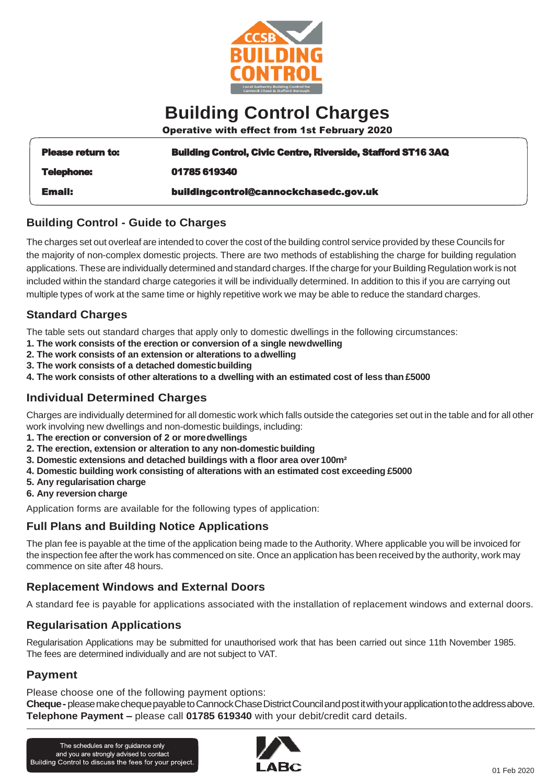

# **Building Control Charges**

Operative with effect from 1st February 2020

| <b>Please return to:</b> | <b>Building Control, Civic Centre, Riverside, Stafford ST16 3AQ</b> |
|--------------------------|---------------------------------------------------------------------|
| <b>Telephone:</b>        | 01785 619340                                                        |
| <b>Email:</b>            | buildingcontrol@cannockchasedc.gov.uk                               |

## **Building Control - Guide to Charges**

The charges set out overleaf are intended to cover the cost of the building control service provided by these Councils for the majority of non-complex domestic projects. There are two methods of establishing the charge for building regulation applications. These are individually determined and standard charges. If the charge for your Building Regulation work is not included within the standard charge categories it will be individually determined. In addition to this if you are carrying out multiple types of work at the same time or highly repetitive work we may be able to reduce the standard charges.

## **Standard Charges**

The table sets out standard charges that apply only to domestic dwellings in the following circumstances:

- **1. The work consists of the erection or conversion of a single newdwelling**
- **2. The work consists of an extension or alterations to adwelling**
- **3. The work consists of a detached domesticbuilding**
- **4. The work consists of other alterations to a dwelling with an estimated cost of less than £5000**

## **Individual Determined Charges**

Charges are individually determined for all domestic work which falls outside the categories set out in the table and for all other work involving new dwellings and non-domestic buildings, including:

- **1. The erection or conversion of 2 or moredwellings**
- **2. The erection, extension or alteration to any non-domestic building**
- **3. Domestic extensions and detached buildings with a floor area over 100m²**
- **4. Domestic building work consisting of alterations with an estimated cost exceeding £5000**
- **5. Any regularisation charge**
- **6. Any reversion charge**

Application forms are available for the following types of application:

# **Full Plans and Building Notice Applications**

The plan fee is payable at the time of the application being made to the Authority. Where applicable you will be invoiced for the inspection fee after the work has commenced on site. Once an application has been received by the authority, work may commence on site after 48 hours.

## **Replacement Windows and External Doors**

A standard fee is payable for applications associated with the installation of replacement windows and external doors.

## **Regularisation Applications**

Regularisation Applications may be submitted for unauthorised work that has been carried out since 11th November 1985. The fees are determined individually and are not subject to VAT.

## **Payment**

Please choose one of the following payment options:

Fiease choose one of the following payment options.<br> **Cheque** - please make cheque payable to Cannock Chase District Council and post it with your application to the address above.<br> **Telephone Payment** – please call **01785 Telephone Payment –** please call **01785 619340** with your debit/credit card details.